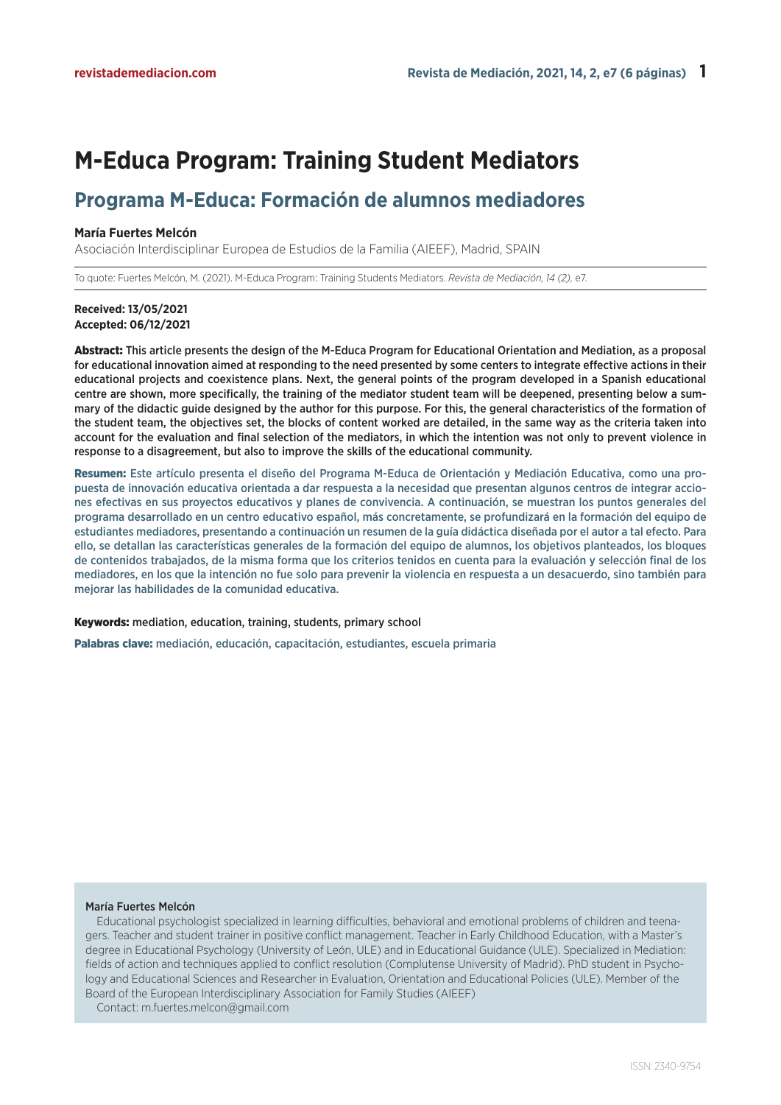# **M-Educa Program: Training Student Mediators**

# **Programa M-Educa: Formación de alumnos mediadores**

#### **María Fuertes Melcón**

Asociación Interdisciplinar Europea de Estudios de la Familia (AIEEF), Madrid, SPAIN

To quote: Fuertes Melcón, M. (2021). M-Educa Program: Training Students Mediators. *Revista de Mediación, 14 (2),* e7.

### **Received: 13/05/2021 Accepted: 06/12/2021**

Abstract: This article presents the design of the M-Educa Program for Educational Orientation and Mediation, as a proposal for educational innovation aimed at responding to the need presented by some centers to integrate effective actions in their educational projects and coexistence plans. Next, the general points of the program developed in a Spanish educational centre are shown, more specifically, the training of the mediator student team will be deepened, presenting below a summary of the didactic guide designed by the author for this purpose. For this, the general characteristics of the formation of the student team, the objectives set, the blocks of content worked are detailed, in the same way as the criteria taken into account for the evaluation and final selection of the mediators, in which the intention was not only to prevent violence in response to a disagreement, but also to improve the skills of the educational community.

Resumen: Este artículo presenta el diseño del Programa M-Educa de Orientación y Mediación Educativa, como una propuesta de innovación educativa orientada a dar respuesta a la necesidad que presentan algunos centros de integrar acciones efectivas en sus proyectos educativos y planes de convivencia. A continuación, se muestran los puntos generales del programa desarrollado en un centro educativo español, más concretamente, se profundizará en la formación del equipo de estudiantes mediadores, presentando a continuación un resumen de la guía didáctica diseñada por el autor a tal efecto. Para ello, se detallan las características generales de la formación del equipo de alumnos, los objetivos planteados, los bloques de contenidos trabajados, de la misma forma que los criterios tenidos en cuenta para la evaluación y selección final de los mediadores, en los que la intención no fue solo para prevenir la violencia en respuesta a un desacuerdo, sino también para mejorar las habilidades de la comunidad educativa.

Keywords: mediation, education, training, students, primary school

Palabras clave: mediación, educación, capacitación, estudiantes, escuela primaria

#### María Fuertes Melcón

Educational psychologist specialized in learning difficulties, behavioral and emotional problems of children and teenagers. Teacher and student trainer in positive conflict management. Teacher in Early Childhood Education, with a Master's degree in Educational Psychology (University of León, ULE) and in Educational Guidance (ULE). Specialized in Mediation: fields of action and techniques applied to conflict resolution (Complutense University of Madrid). PhD student in Psychology and Educational Sciences and Researcher in Evaluation, Orientation and Educational Policies (ULE). Member of the Board of the European Interdisciplinary Association for Family Studies (AIEEF)

Contact: m.fuertes.melcon@gmail.com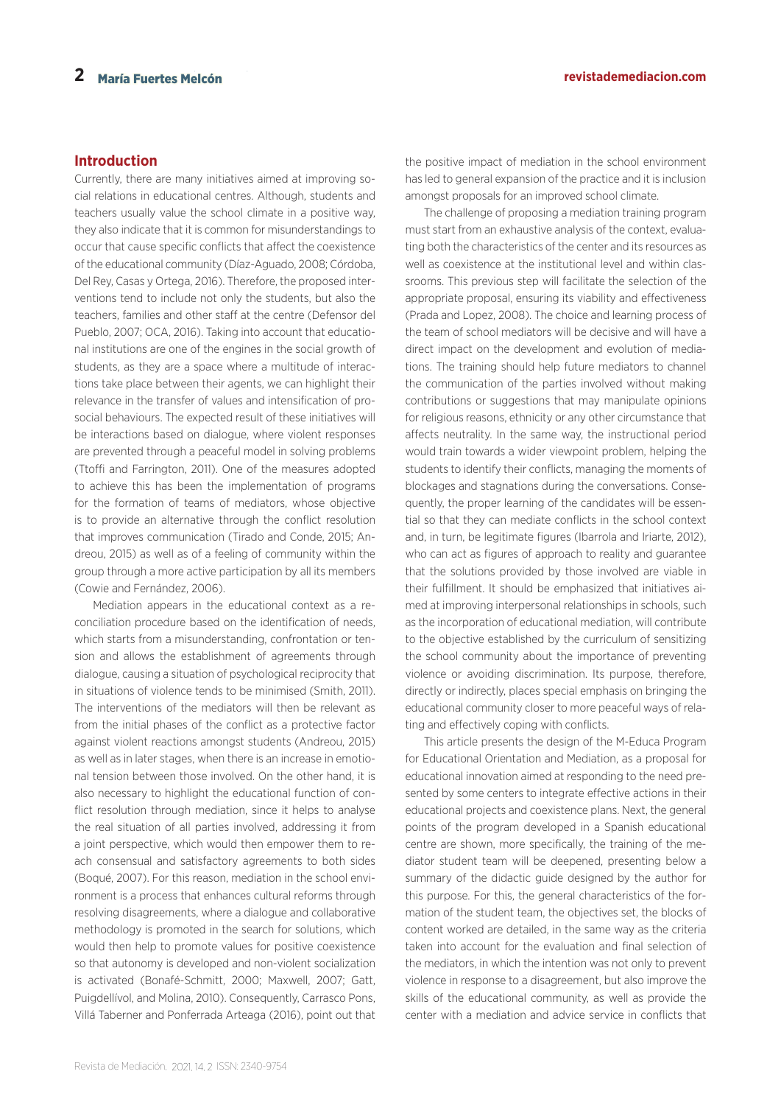# **Introduction**

Currently, there are many initiatives aimed at improving social relations in educational centres. Although, students and teachers usually value the school climate in a positive way, they also indicate that it is common for misunderstandings to occur that cause specific conflicts that affect the coexistence of the educational community (Díaz-Aguado, 2008; Córdoba, Del Rey, Casas y Ortega, 2016). Therefore, the proposed interventions tend to include not only the students, but also the teachers, families and other staff at the centre (Defensor del Pueblo, 2007; OCA, 2016). Taking into account that educational institutions are one of the engines in the social growth of students, as they are a space where a multitude of interactions take place between their agents, we can highlight their relevance in the transfer of values and intensification of prosocial behaviours. The expected result of these initiatives will be interactions based on dialogue, where violent responses are prevented through a peaceful model in solving problems (Ttoffi and Farrington, 2011). One of the measures adopted to achieve this has been the implementation of programs for the formation of teams of mediators, whose objective is to provide an alternative through the conflict resolution that improves communication (Tirado and Conde, 2015; Andreou, 2015) as well as of a feeling of community within the group through a more active participation by all its members (Cowie and Fernández, 2006).

Mediation appears in the educational context as a reconciliation procedure based on the identification of needs, which starts from a misunderstanding, confrontation or tension and allows the establishment of agreements through dialogue, causing a situation of psychological reciprocity that in situations of violence tends to be minimised (Smith, 2011). The interventions of the mediators will then be relevant as from the initial phases of the conflict as a protective factor against violent reactions amongst students (Andreou, 2015) as well as in later stages, when there is an increase in emotional tension between those involved. On the other hand, it is also necessary to highlight the educational function of conflict resolution through mediation, since it helps to analyse the real situation of all parties involved, addressing it from a joint perspective, which would then empower them to reach consensual and satisfactory agreements to both sides (Boqué, 2007). For this reason, mediation in the school environment is a process that enhances cultural reforms through resolving disagreements, where a dialogue and collaborative methodology is promoted in the search for solutions, which would then help to promote values for positive coexistence so that autonomy is developed and non-violent socialization is activated (Bonafé-Schmitt, 2000; Maxwell, 2007; Gatt, Puigdellívol, and Molina, 2010). Consequently, Carrasco Pons, Villá Taberner and Ponferrada Arteaga (2016), point out that

the positive impact of mediation in the school environment has led to general expansion of the practice and it is inclusion amongst proposals for an improved school climate.

The challenge of proposing a mediation training program must start from an exhaustive analysis of the context, evaluating both the characteristics of the center and its resources as well as coexistence at the institutional level and within classrooms. This previous step will facilitate the selection of the appropriate proposal, ensuring its viability and effectiveness (Prada and Lopez, 2008). The choice and learning process of the team of school mediators will be decisive and will have a direct impact on the development and evolution of mediations. The training should help future mediators to channel the communication of the parties involved without making contributions or suggestions that may manipulate opinions for religious reasons, ethnicity or any other circumstance that affects neutrality. In the same way, the instructional period would train towards a wider viewpoint problem, helping the students to identify their conflicts, managing the moments of blockages and stagnations during the conversations. Consequently, the proper learning of the candidates will be essential so that they can mediate conflicts in the school context and, in turn, be legitimate figures (Ibarrola and Iriarte, 2012), who can act as figures of approach to reality and guarantee that the solutions provided by those involved are viable in their fulfillment. It should be emphasized that initiatives aimed at improving interpersonal relationships in schools, such as the incorporation of educational mediation, will contribute to the objective established by the curriculum of sensitizing the school community about the importance of preventing violence or avoiding discrimination. Its purpose, therefore, directly or indirectly, places special emphasis on bringing the educational community closer to more peaceful ways of relating and effectively coping with conflicts.

This article presents the design of the M-Educa Program for Educational Orientation and Mediation, as a proposal for educational innovation aimed at responding to the need presented by some centers to integrate effective actions in their educational projects and coexistence plans. Next, the general points of the program developed in a Spanish educational centre are shown, more specifically, the training of the mediator student team will be deepened, presenting below a summary of the didactic guide designed by the author for this purpose. For this, the general characteristics of the formation of the student team, the objectives set, the blocks of content worked are detailed, in the same way as the criteria taken into account for the evaluation and final selection of the mediators, in which the intention was not only to prevent violence in response to a disagreement, but also improve the skills of the educational community, as well as provide the center with a mediation and advice service in conflicts that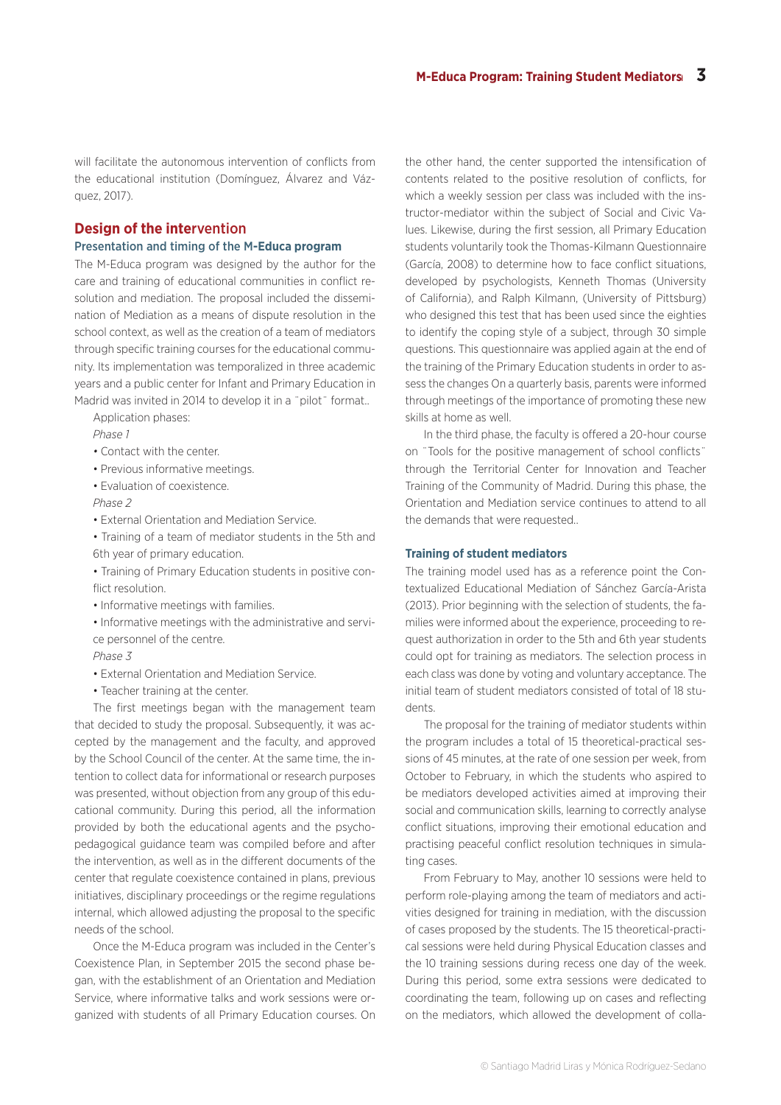will facilitate the autonomous intervention of conflicts from the educational institution (Domínguez, Álvarez and Vázquez, 2017).

# **Design of the inte**rvention

#### Presentation and timing of the M**-Educa program**

The M-Educa program was designed by the author for the care and training of educational communities in conflict resolution and mediation. The proposal included the dissemination of Mediation as a means of dispute resolution in the school context, as well as the creation of a team of mediators through specific training courses for the educational community. Its implementation was temporalized in three academic years and a public center for Infant and Primary Education in Madrid was invited in 2014 to develop it in a "pilot" format...

Application phases:

*Phase 1* 

- Contact with the center.
- Previous informative meetings.
- Evaluation of coexistence.

*Phase 2* 

• External Orientation and Mediation Service.

• Training of a team of mediator students in the 5th and 6th year of primary education.

• Training of Primary Education students in positive conflict resolution.

- Informative meetings with families.
- Informative meetings with the administrative and service personnel of the centre.

#### *Phase 3*

- External Orientation and Mediation Service.
- Teacher training at the center.

The first meetings began with the management team that decided to study the proposal. Subsequently, it was accepted by the management and the faculty, and approved by the School Council of the center. At the same time, the intention to collect data for informational or research purposes was presented, without objection from any group of this educational community. During this period, all the information provided by both the educational agents and the psychopedagogical guidance team was compiled before and after the intervention, as well as in the different documents of the center that regulate coexistence contained in plans, previous initiatives, disciplinary proceedings or the regime regulations internal, which allowed adjusting the proposal to the specific needs of the school.

Once the M-Educa program was included in the Center's Coexistence Plan, in September 2015 the second phase began, with the establishment of an Orientation and Mediation Service, where informative talks and work sessions were organized with students of all Primary Education courses. On

the other hand, the center supported the intensification of contents related to the positive resolution of conflicts, for which a weekly session per class was included with the instructor-mediator within the subject of Social and Civic Values. Likewise, during the first session, all Primary Education students voluntarily took the Thomas-Kilmann Questionnaire (García, 2008) to determine how to face conflict situations, developed by psychologists, Kenneth Thomas (University of California), and Ralph Kilmann, (University of Pittsburg) who designed this test that has been used since the eighties to identify the coping style of a subject, through 30 simple questions. This questionnaire was applied again at the end of the training of the Primary Education students in order to assess the changes On a quarterly basis, parents were informed through meetings of the importance of promoting these new skills at home as well.

In the third phase, the faculty is offered a 20-hour course on ¨Tools for the positive management of school conflicts¨ through the Territorial Center for Innovation and Teacher Training of the Community of Madrid. During this phase, the Orientation and Mediation service continues to attend to all the demands that were requested..

#### **Training of student mediators**

The training model used has as a reference point the Contextualized Educational Mediation of Sánchez García-Arista (2013). Prior beginning with the selection of students, the families were informed about the experience, proceeding to request authorization in order to the 5th and 6th year students could opt for training as mediators. The selection process in each class was done by voting and voluntary acceptance. The initial team of student mediators consisted of total of 18 students.

The proposal for the training of mediator students within the program includes a total of 15 theoretical-practical sessions of 45 minutes, at the rate of one session per week, from October to February, in which the students who aspired to be mediators developed activities aimed at improving their social and communication skills, learning to correctly analyse conflict situations, improving their emotional education and practising peaceful conflict resolution techniques in simulating cases.

From February to May, another 10 sessions were held to perform role-playing among the team of mediators and activities designed for training in mediation, with the discussion of cases proposed by the students. The 15 theoretical-practical sessions were held during Physical Education classes and the 10 training sessions during recess one day of the week. During this period, some extra sessions were dedicated to coordinating the team, following up on cases and reflecting on the mediators, which allowed the development of colla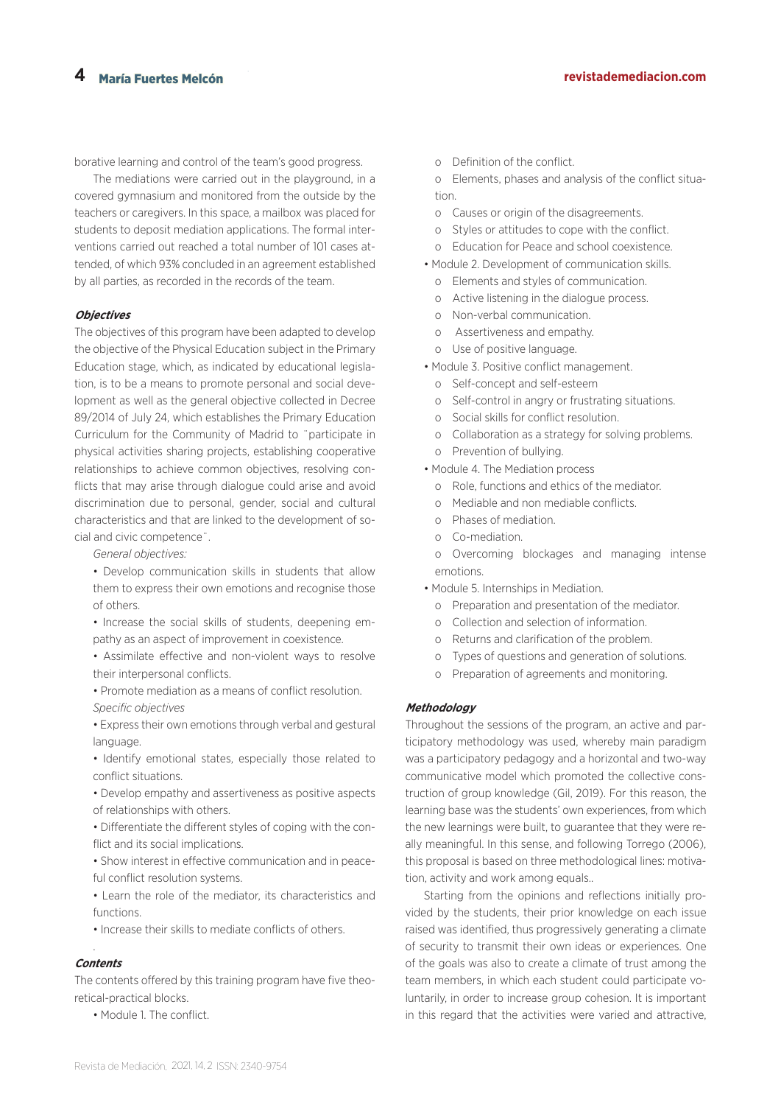borative learning and control of the team's good progress.

The mediations were carried out in the playground, in a covered gymnasium and monitored from the outside by the teachers or caregivers. In this space, a mailbox was placed for students to deposit mediation applications. The formal interventions carried out reached a total number of 101 cases attended, of which 93% concluded in an agreement established by all parties, as recorded in the records of the team.

#### **Objectives**

The objectives of this program have been adapted to develop the objective of the Physical Education subject in the Primary Education stage, which, as indicated by educational legislation, is to be a means to promote personal and social development as well as the general objective collected in Decree 89/2014 of July 24, which establishes the Primary Education Curriculum for the Community of Madrid to ¨participate in physical activities sharing projects, establishing cooperative relationships to achieve common objectives, resolving conflicts that may arise through dialogue could arise and avoid discrimination due to personal, gender, social and cultural characteristics and that are linked to the development of social and civic competence¨.

*General objectives:*

- Develop communication skills in students that allow them to express their own emotions and recognise those of others.
- Increase the social skills of students, deepening empathy as an aspect of improvement in coexistence.
- Assimilate effective and non-violent ways to resolve their interpersonal conflicts.
- Promote mediation as a means of conflict resolution. *Specific objectives*
- Express their own emotions through verbal and gestural language.
- Identify emotional states, especially those related to conflict situations.
- Develop empathy and assertiveness as positive aspects of relationships with others.
- Differentiate the different styles of coping with the conflict and its social implications.
- Show interest in effective communication and in peaceful conflict resolution systems.
- Learn the role of the mediator, its characteristics and functions.
- Increase their skills to mediate conflicts of others.

## . **Contents**

The contents offered by this training program have five theoretical-practical blocks.

• Module 1. The conflict.

- o Definition of the conflict.
- o Elements, phases and analysis of the conflict situation.
- o Causes or origin of the disagreements.
- o Styles or attitudes to cope with the conflict.
- o Education for Peace and school coexistence.
- Module 2. Development of communication skills.
	- o Elements and styles of communication.
	- o Active listening in the dialogue process.
	- o Non-verbal communication.
	- o Assertiveness and empathy.
	- o Use of positive language.
- Module 3. Positive conflict management.
	- o Self-concept and self-esteem
	- o Self-control in angry or frustrating situations.
	- o Social skills for conflict resolution.
	- o Collaboration as a strategy for solving problems.
	- o Prevention of bullying.
- Module 4. The Mediation process
	- o Role, functions and ethics of the mediator.
	- o Mediable and non mediable conflicts.
	- o Phases of mediation.
	- o Co-mediation.
	- o Overcoming blockages and managing intense emotions.
- Module 5. Internships in Mediation.
	- o Preparation and presentation of the mediator.
	- o Collection and selection of information.
	- o Returns and clarification of the problem.
	- o Types of questions and generation of solutions.
	- o Preparation of agreements and monitoring.

#### **Methodology**

Throughout the sessions of the program, an active and participatory methodology was used, whereby main paradigm was a participatory pedagogy and a horizontal and two-way communicative model which promoted the collective construction of group knowledge (Gil, 2019). For this reason, the learning base was the students' own experiences, from which the new learnings were built, to guarantee that they were really meaningful. In this sense, and following Torrego (2006), this proposal is based on three methodological lines: motivation, activity and work among equals..

Starting from the opinions and reflections initially provided by the students, their prior knowledge on each issue raised was identified, thus progressively generating a climate of security to transmit their own ideas or experiences. One of the goals was also to create a climate of trust among the team members, in which each student could participate voluntarily, in order to increase group cohesion. It is important in this regard that the activities were varied and attractive,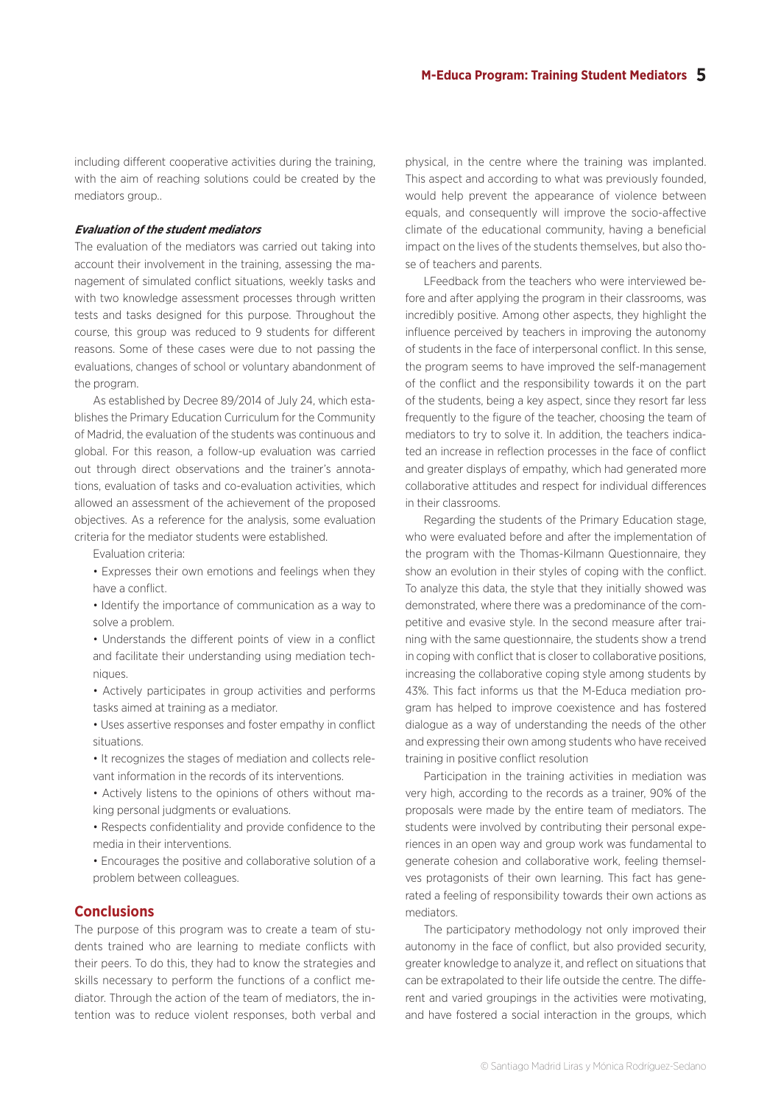including different cooperative activities during the training, with the aim of reaching solutions could be created by the mediators group...

#### **Evaluation of the student mediators**

The evaluation of the mediators was carried out taking into account their involvement in the training, assessing the management of simulated conflict situations, weekly tasks and with two knowledge assessment processes through written tests and tasks designed for this purpose. Throughout the course, this group was reduced to 9 students for different reasons. Some of these cases were due to not passing the evaluations, changes of school or voluntary abandonment of the program.

As established by Decree 89/2014 of July 24, which establishes the Primary Education Curriculum for the Community of Madrid, the evaluation of the students was continuous and global. For this reason, a follow-up evaluation was carried out through direct observations and the trainer's annotations, evaluation of tasks and co-evaluation activities, which allowed an assessment of the achievement of the proposed objectives. As a reference for the analysis, some evaluation criteria for the mediator students were established.

Evaluation criteria:

• Expresses their own emotions and feelings when they have a conflict.

• Identify the importance of communication as a way to solve a problem.

• Understands the different points of view in a conflict and facilitate their understanding using mediation techniques.

- Actively participates in group activities and performs tasks aimed at training as a mediator.
- Uses assertive responses and foster empathy in conflict situations.
- It recognizes the stages of mediation and collects relevant information in the records of its interventions.
- Actively listens to the opinions of others without making personal judgments or evaluations.

• Respects confidentiality and provide confidence to the media in their interventions.

• Encourages the positive and collaborative solution of a problem between colleagues.

#### **Conclusions**

The purpose of this program was to create a team of students trained who are learning to mediate conflicts with their peers. To do this, they had to know the strategies and skills necessary to perform the functions of a conflict mediator. Through the action of the team of mediators, the intention was to reduce violent responses, both verbal and

physical, in the centre where the training was implanted. This aspect and according to what was previously founded, would help prevent the appearance of violence between equals, and consequently will improve the socio-affective climate of the educational community, having a beneficial impact on the lives of the students themselves, but also those of teachers and parents.

LFeedback from the teachers who were interviewed before and after applying the program in their classrooms, was incredibly positive. Among other aspects, they highlight the influence perceived by teachers in improving the autonomy of students in the face of interpersonal conflict. In this sense, the program seems to have improved the self-management of the conflict and the responsibility towards it on the part of the students, being a key aspect, since they resort far less frequently to the figure of the teacher, choosing the team of mediators to try to solve it. In addition, the teachers indicated an increase in reflection processes in the face of conflict and greater displays of empathy, which had generated more collaborative attitudes and respect for individual differences in their classrooms.

Regarding the students of the Primary Education stage, who were evaluated before and after the implementation of the program with the Thomas-Kilmann Questionnaire, they show an evolution in their styles of coping with the conflict. To analyze this data, the style that they initially showed was demonstrated, where there was a predominance of the competitive and evasive style. In the second measure after training with the same questionnaire, the students show a trend in coping with conflict that is closer to collaborative positions, increasing the collaborative coping style among students by 43%. This fact informs us that the M-Educa mediation program has helped to improve coexistence and has fostered dialogue as a way of understanding the needs of the other and expressing their own among students who have received training in positive conflict resolution

Participation in the training activities in mediation was very high, according to the records as a trainer, 90% of the proposals were made by the entire team of mediators. The students were involved by contributing their personal experiences in an open way and group work was fundamental to generate cohesion and collaborative work, feeling themselves protagonists of their own learning. This fact has generated a feeling of responsibility towards their own actions as mediators.

The participatory methodology not only improved their autonomy in the face of conflict, but also provided security, greater knowledge to analyze it, and reflect on situations that can be extrapolated to their life outside the centre. The different and varied groupings in the activities were motivating, and have fostered a social interaction in the groups, which